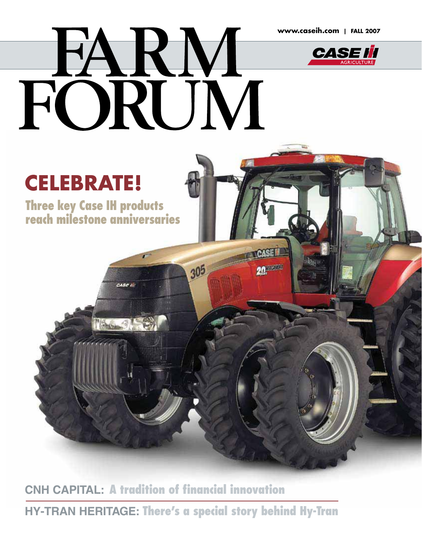**www.caseih.com | FALL 2007**

**TONSEL** 

201000



# RM FA FÖRUM

# **CELEBRATE!**

**Three key Case IH products reach milestone anniversaries**

**MSE** IN

**Contraction** 

**CNH CAPITAL: A tradition of financial innovation**

**HY-TRAN HERITAGE: There's a special story behind Hy-Tran**

305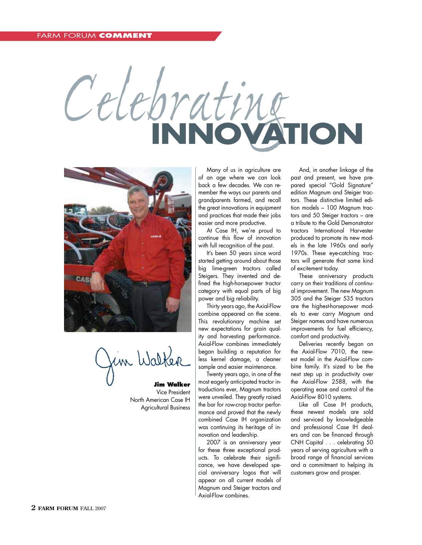# Celebrating



Jim Walker **Jim Walker**

Vice President North American Case IH Agricultural Business

Many of us in agriculture are of an age where we can look back a few decades. We can remember the ways our parents and grandparents farmed, and recall the great innovations in equipment and practices that made their jobs easier and more productive.

At Case IH, we're proud to continue this flow of innovation with full recognition of the past.

It's been 50 years since word started getting around about those big lime-green tractors called Steigers. They invented and defined the high-horsepower tractor category with equal parts of big power and big reliability.

Thirty years ago, the Axial-Flow combine appeared on the scene. This revolutionary machine set new expectations for grain quality and harvesting performance. Axial-Flow combines immediately began building a reputation for less kernel damage, a cleaner sample and easier maintenance.

Twenty years ago, in one of the most eagerly anticipated tractor introductions ever, Magnum tractors were unveiled. They greatly raised the bar for row-crop tractor performance and proved that the newly combined Case IH organization was continuing its heritage of innovation and leadership.

2007 is an anniversary year for these three exceptional products. To celebrate their significance, we have developed special anniversary logos that will appear on all current models of Magnum and Steiger tractors and Axial-Flow combines.

And, in another linkage of the past and present, we have prepared special "Gold Signature" edition Magnum and Steiger tractors. These distinctive limited edition models – 100 Magnum tractors and 50 Steiger tractors – are a tribute to the Gold Demonstrator tractors International Harvester produced to promote its new models in the late 1960s and early 1970s. These eye-catching tractors will generate that same kind of excitement today.

These anniversary products carry on their traditions of continual improvement. The new Magnum 305 and the Steiger 535 tractors are the highest-horsepower models to ever carry Magnum and Steiger names and have numerous improvements for fuel efficiency, comfort and productivity.

Deliveries recently began on the Axial-Flow 7010, the newest model in the Axial-Flow combine family. It's sized to be the next step up in productivity over the Axial-Flow 2588, with the operating ease and control of the Axial-Flow 8010 systems.

Like all Case IH products, these newest models are sold and serviced by knowledgeable and professional Case IH dealers and can be financed through CNH Capital . . . celebrating 50 years of serving agriculture with a broad range of financial services and a commitment to helping its customers grow and prosper.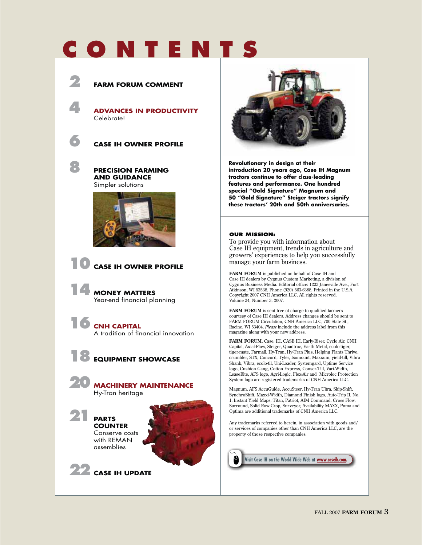# **C O N T E N T S**





**Revolutionary in design at their introduction 20 years ago, Case IH Magnum tractors continue to offer class-leading features and performance. One hundred special "Gold Signature" Magnum and 50 "Gold Signature" Steiger tractors signify these tractors' 20th and 50th anniversaries.**

#### **OUR MISSION:**

To provide you with information about Case IH equipment, trends in agriculture and growers' experiences to help you successfully manage your farm business.

**FARM FORUM** is published on behalf of Case IH and Case IH dealers by Cygnus Custom Marketing, a division of Cygnus Business Media. Editorial office: 1233 Janesville Ave., Fort Atkinson, WI 53538. Phone (920) 563-6388. Printed in the U.S.A. Copyright 2007 CNH America LLC. All rights reserved. Volume 34, Number 3, 2007.

**FARM FORUM** is sent free of charge to qualified farmers courtesy of Case IH dealers. Address changes should be sent to FARM FORUM Circulation, CNH America LLC, 700 State St., Racine, WI 53404. *Please* include the address label from this magazine along with your new address.

**FARM FORUM**, Case, IH, CASE IH, Early-Riser, Cyclo Air, CNH Capital, Axial-Flow, Steiger, Quadtrac, Earth Metal, ecolo-tiger, tiger-mate, Farmall, Hy-Tran, Hy-Tran Plus, Helping Plants Thrive, crumbler, STX, Concord, Tyler, Isomount, Maxxum, yield-till, Vibra Shank, Vibra, ecolo-til, Uni-Loader, Systemgard, Uptime Service logo, Cushion Gang, Cotton Express, Conser-Till, Vari-Width, LeaseRite, AFS logo, Agri-Logic, Flex-Air and Microloc Protection System logo are registered trademarks of CNH America LLC.

Magnum, AFS AccuGuide, AccuSteer, Hy-Tran Ultra, Skip-Shift, SynchroShift, Maxxi-Width, Diamond Finish logo, Auto-Trip II, No. 1, Instant Yield Maps, Titan, Patriot, AIM Command, Cross Flow, Surround, Solid Row Crop, Surveyor, Availability MAXX, Puma and Optima are additional trademarks of CNH America LLC.

Any trademarks referred to herein, in association with goods and/ or services of companies other than CNH America LLC, are the property of those respective companies.

**Visit Case IH on the World Wide Web at www.caseih.com.**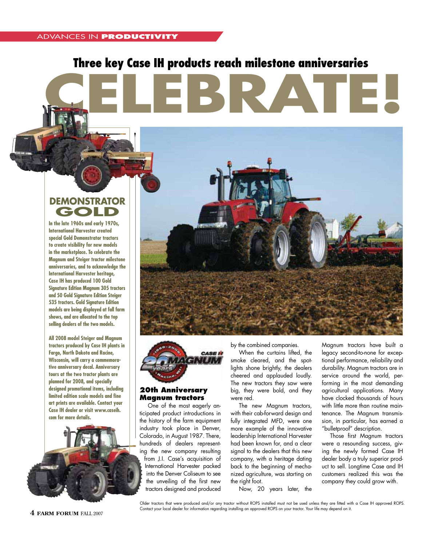# **CELEBRATE: Three key Case IH products reach milestone anniversaries**



**In the late 1960s and early 1970s, International Harvester created special Gold Demonstrator tractors to create visibility for new models in the marketplace. To celebrate the Magnum and Steiger tractor milestone anniversaries, and to acknowledge the International Harvester heritage, Case IH has produced 100 Gold Signature Edition Magnum 305 tractors and 50 Gold Signature Edition Steiger 535 tractors. Gold Signature Edition models are being displayed at fall farm shows, and are allocated to the top selling dealers of the two models.** 

**All 2008 model Steiger and Magnum tractors produced by Case IH plants in Fargo, North Dakota and Racine, Wisconsin, will carry a commemorative anniversary decal. Anniversary tours at the two tractor plants are planned for 2008, and specially designed promotional items, including limited edition scale models and fine art prints are available. Contact your Case IH dealer or visit www.caseih. com for more details.** 







#### **20th Anniversary Magnum tractors**

One of the most eagerly anticipated product introductions in the history of the farm equipment industry took place in Denver, Colorado, in August 1987. There, hundreds of dealers representing the new company resulting from J.I. Case's acquisition of International Harvester packed into the Denver Coliseum to see the unveiling of the first new tractors designed and produced by the combined companies.

When the curtains lifted, the smoke cleared, and the spotlights shone brightly, the dealers cheered and applauded loudly. The new tractors they saw were big, they were bold, and they were red.

The new Magnum tractors, with their cab-forward design and fully integrated MFD, were one more example of the innovative leadership International Harvester had been known for, and a clear signal to the dealers that this new company, with a heritage dating back to the beginning of mechanized agriculture, was starting on the right foot.

Now, 20 years later, the

Magnum tractors have built a legacy second-to-none for exceptional performance, reliability and durability. Magnum tractors are in service around the world, performing in the most demanding agricultural applications. Many have clocked thousands of hours with little more than routine maintenance. The Magnum transmission, in particular, has earned a "bulletproof" description.

Those first Magnum tractors were a resounding success, giving the newly formed Case IH dealer body a truly superior product to sell. Longtime Case and IH customers realized this was the company they could grow with.

Older tractors that were produced and/or any tractor without ROPS installed must not be used unless they are fitted with a Case IH approved ROPS. Contact your local dealer for information regarding installing an approved ROPS on your tractor. Your life may depend on it.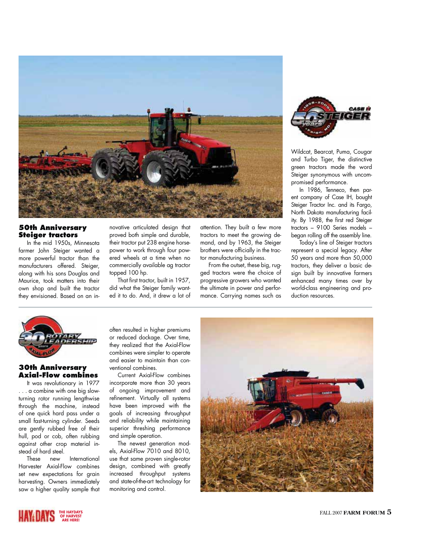

#### **50th Anniversary Steiger tractors**

In the mid 1950s, Minnesota farmer John Steiger wanted a more powerful tractor than the manufacturers offered. Steiger, along with his sons Douglas and Maurice, took matters into their own shop and built the tractor they envisioned. Based on an innovative articulated design that proved both simple and durable, their tractor put 238 engine horsepower to work through four powered wheels at a time when no commercially available ag tractor topped 100 hp.

.<br>That first tractor, built in 1957, did what the Steiger family wanted it to do. And, it drew a lot of

attention. They built a few more tractors to meet the growing demand, and by 1963, the Steiger brothers were officially in the tractor manufacturing business.

From the outset, these big, rugged tractors were the choice of progressive growers who wanted the ultimate in power and performance. Carrying names such as



Wildcat, Bearcat, Puma, Cougar and Turbo Tiger, the distinctive green tractors made the word Steiger synonymous with uncompromised performance.

In 1986, Tenneco, then parent company of Case IH, bought Steiger Tractor Inc. and its Fargo, North Dakota manufacturing facility. By 1988, the first red Steiger tractors – 9100 Series models – began rolling off the assembly line.

Today's line of Steiger tractors represent a special legacy. After 50 years and more than 50,000 tractors, they deliver a basic design built by innovative farmers enhanced many times over by world-class engineering and production resources.



#### **30th Anniversary Axial-Flow combines**

It was revolutionary in 1977 . . . a combine with one big slowturning rotor running lengthwise through the machine, instead of one quick hard pass under a small fast-turning cylinder. Seeds are gently rubbed free of their hull, pod or cob, often rubbing against other crop material instead of hard steel.<br>These new

new International Harvester Axial-Flow combines set new expectations for grain harvesting. Owners immediately saw a higher quality sample that

often resulted in higher premiums or reduced dockage. Over time, they realized that the Axial-Flow combines were simpler to operate and easier to maintain than conventional combines.

Current Axial-Flow combines incorporate more than 30 years of ongoing improvement and refinement. Virtually all systems have been improved with the goals of increasing throughput and reliability while maintaining superior threshing performance and simple operation.

The newest generation models, Axial-Flow 7010 and 8010, use that same proven single-rotor design, combined with greatly increased throughput systems and state-of-the-art technology for monitoring and control.



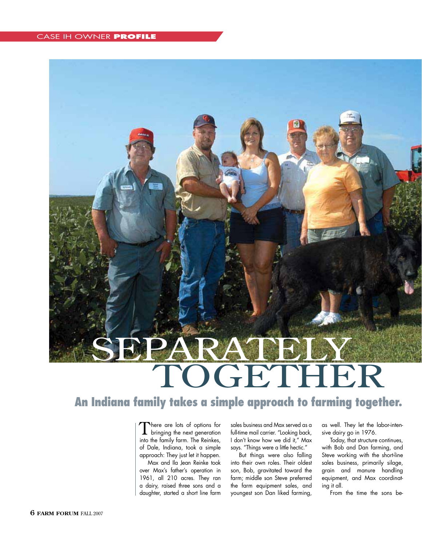#### CASE IH OWNER **PROFILE**



#### **An Indiana family takes a simple approach to farming together.**

There are lots of options for bringing the next generation into the family farm. The Reinkes, of Dale, Indiana, took a simple approach: They just let it happen.

Max and Ila Jean Reinke took over Max's father's operation in 1961, all 210 acres. They ran a dairy, raised three sons and a daughter, started a short line farm

sales business and Max served as a full-time mail carrier. "Looking back, I don't know how we did it," Max says. "Things were a little hectic."

But things were also falling into their own roles. Their oldest son, Bob, gravitated toward the farm; middle son Steve preferred the farm equipment sales, and youngest son Dan liked farming, as well. They let the labor-intensive dairy go in 1976.

Today, that structure continues, with Bob and Dan farming, and Steve working with the short-line sales business, primarily silage, grain and manure handling equipment, and Max coordinating it all.

From the time the sons be-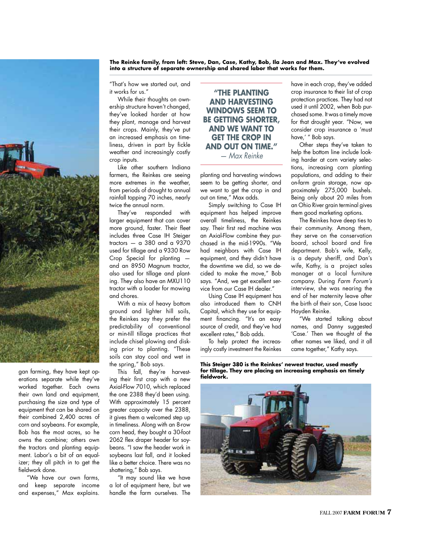

gan farming, they have kept operations separate while they've worked together. Each owns their own land and equipment, purchasing the size and type of equipment that can be shared on their combined 2,400 acres of corn and soybeans. For example, Bob has the most acres, so he owns the combine; others own the tractors and planting equipment. Labor's a bit of an equalizer; they all pitch in to get the fieldwork done.

"We have our own farms, and keep separate income and expenses," Max explains. **The Reinke family, from left: Steve, Dan, Case, Kathy, Bob, Ila Jean and Max. They've evolved into a structure of separate ownership and shared labor that works for them.**

"That's how we started out, and it works for us."

While their thoughts on ownership structure haven't changed, they've looked harder at how they plant, manage and harvest their crops. Mainly, they've put an increased emphasis on timeliness, driven in part by fickle weather and increasingly costly crop inputs.

Like other southern Indiana farmers, the Reinkes are seeing more extremes in the weather, from periods of drought to annual rainfall topping 70 inches, nearly twice the annual norm.

They've responded with larger equipment that can cover more ground, faster. Their fleet includes three Case IH Steiger tractors  $-$  a 380 and a 9370 used for tillage and a 9330 Row Crop Special for planting and an 8950 Magnum tractor, also used for tillage and planting. They also have an MXU110 tractor with a loader for mowing and chores.

With a mix of heavy bottom ground and lighter hill soils, the Reinkes say they prefer the predictability of conventional or min-till tillage practices that include chisel plowing and disking prior to planting. "These soils can stay cool and wet in the spring," Bob says.

This fall, they're harvesting their first crop with a new Axial-Flow 7010, which replaced the one 2388 they'd been using. With approximately 15 percent greater capacity over the 2388, it gives them a welcomed step up in timeliness. Along with an 8-row corn head, they bought a 30-foot 2062 flex draper header for soybeans. "I saw the header work in soybeans last fall, and it looked like a better choice. There was no shattering," Bob says.

"It may sound like we have a lot of equipment here, but we handle the farm ourselves. The

**"THE PLANTING AND HARVESTING WINDOWS SEEM TO BE GETTING SHORTER, AND WE WANT TO GET THE CROP IN AND OUT ON TIME."**  — Max Reinke

planting and harvesting windows seem to be getting shorter, and we want to get the crop in and out on time," Max adds.

Simply switching to Case IH equipment has helped improve overall timeliness, the Reinkes say. Their first red machine was an Axial-Flow combine they purchased in the mid-1990s. "We had neighbors with Case IH equipment, and they didn't have the downtime we did, so we decided to make the move," Bob says. "And, we get excellent service from our Case IH dealer."

Using Case IH equipment has also introduced them to CNH Capital, which they use for equipment financing. "It's an easy source of credit, and they've had excellent rates," Bob adds.

To help protect the increasingly costly investment the Reinkes have in each crop, they've added crop insurance to their list of crop protection practices. They had not used it until 2002, when Bob purchased some. It was a timely move for that drought year. "Now, we consider crop insurance a 'must have,' " Bob says.

Other steps they've taken to help the bottom line include looking harder at corn variety selections, increasing corn planting populations, and adding to their on-farm grain storage, now approximately 275,000 bushels. Being only about 20 miles from an Ohio River grain terminal gives them good marketing options.

The Reinkes have deep ties to their community. Among them, they serve on the conservation board, school board and fire department. Bob's wife, Kelly, is a deputy sheriff, and Dan's wife, Kathy, is a project sales manager at a local furniture company. During Farm Forum's interview, she was nearing the end of her maternity leave after the birth of their son, Case Isaac Hayden Reinke.

"We started talking about names, and Danny suggested 'Case.' Then we thought of the other names we liked, and it all came together," Kathy says.

**This Steiger 380 is the Reinkes' newest tractor, used mostly for tillage. They are placing an increasing emphasis on timely fieldwork.**

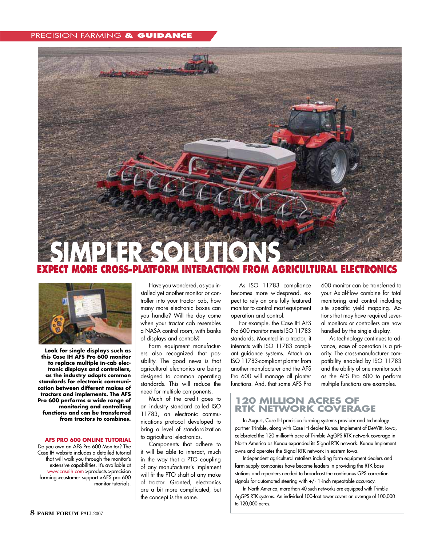#### PRECISION FARMING **& GUIDANCE**





**Look for single displays such as this Case IH AFS Pro 600 monitor to replace multiple in-cab electronic displays and controllers, as the industry adopts common standards for electronic communication between different makes of tractors and implements. The AFS Pro 600 performs a wide range of monitoring and controlling functions and can be transferred from tractors to combines.** 

#### **AFS PRO 600 ONLINE TUTORIAL**

Do you own an AFS Pro 600 Monitor? The Case IH website includes a detailed tutorial that will walk you through the monitor's extensive capabilities. It's available at www.caseih.com >products >precision farming >customer support >AFS pro 600 monitor tutorials.

Have you wondered, as you installed yet another monitor or controller into your tractor cab, how many more electronic boxes can you handle? Will the day come when your tractor cab resembles a NASA control room, with banks of displays and controls?

Farm equipment manufacturers also recognized that possibility. The good news is that agricultural electronics are being designed to common operating standards. This will reduce the need for multiple components.

Much of the credit goes to an industry standard called ISO 11783, an electronic communications protocol developed to bring a level of standardization to agricultural electronics.

Components that adhere to it will be able to interact, much in the way that a PTO coupling of any manufacturer's implement will fit the PTO shaft of any make of tractor. Granted, electronics are a bit more complicated, but the concept is the same.

As ISO 11783 compliance becomes more widespread, expect to rely on one fully featured monitor to control most equipment operation and control.

For example, the Case IH AFS Pro 600 monitor meets ISO 11783 standards. Mounted in a tractor, it interacts with ISO 11783 compliant guidance systems. Attach an ISO 11783-compliant planter from another manufacturer and the AFS Pro 600 will manage all planter functions. And, that same AFS Pro 600 monitor can be transferred to your Axial-Flow combine for total monitoring and control including site specific yield mapping. Actions that may have required several monitors or controllers are now handled by the single display.

As technology continues to advance, ease of operation is a priority. The cross-manufacturer compatibility enabled by ISO 11783 and the ability of one monitor such as the AFS Pro 600 to perform multiple functions are examples.

#### **120 MILLION ACRES OF RTK NETWORK COVERAGE**

In August, Case IH precision farming systems provider and technology partner Trimble, along with Case IH dealer Kunau Implement of DeWitt, Iowa, celebrated the 120 millionth acre of Trimble AgGPS RTK network coverage in North America as Kunau expanded its Signal RTK network. Kunau Implement owns and operates the Signal RTK network in eastern Iowa.

Independent agricultural retailers including farm equipment dealers and farm supply companies have become leaders in providing the RTK base stations and repeaters needed to broadcast the continuous GPS correction signals for automated steering with +/- 1-inch repeatable accuracy.

In North America, more than 40 such networks are equipped with Trimble AgGPS RTK systems. An individual 100-foot tower covers an average of 100,000 to 120,000 acres.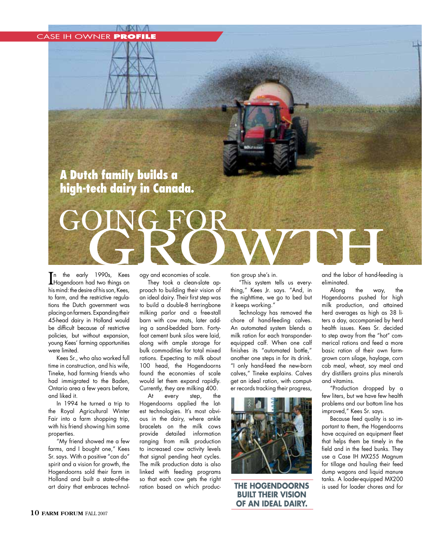#### CASE IH OWNER **PROFILE**

#### **A Dutch family builds a high-tech dairy in Canada.**

In the early 1990s, Kees<br>Hogendoorn had two things on Hogendoorn had two things on his mind: the desire of his son, Kees, to farm, and the restrictive regulations the Dutch government was placing on farmers. Expanding their 45-head dairy in Holland would be difficult because of restrictive policies, but without expansion, young Kees' farming opportunities were limited.

Kees Sr., who also worked full time in construction, and his wife, Tineke, had farming friends who had immigrated to the Baden, Ontario area a few years before, and liked it.

In 1994 he turned a trip to the Royal Agricultural Winter Fair into a farm shopping trip, with his friend showing him some properties.

"My friend showed me a few farms, and I bought one," Kees Sr. says. With a positive "can do" spirit and a vision for growth, the Hogendoorns sold their farm in Holland and built a state-of-theart dairy that embraces technology and economies of scale.

They took a clean-slate approach to building their vision of an ideal dairy. Their first step was to build a double-8 herringbone milking parlor and a free-stall barn with cow mats, later adding a sand-bedded barn. Fortyfoot cement bunk silos were laid, along with ample storage for bulk commodities for total mixed rations. Expecting to milk about 100 head, the Hogendoorns found the economies of scale would let them expand rapidly. Currently, they are milking 400.

At every step, the Hogendoorns applied the latest technologies. It's most obvious in the dairy, where ankle bracelets on the milk cows provide detailed information ranging from milk production to increased cow activity levels that signal pending heat cycles. The milk production data is also linked with feeding programs so that each cow gets the right ration based on which production group she's in.

"This system tells us everything," Kees Jr. says. "And, in the nighttime, we go to bed but it keeps working."

Technology has removed the chore of hand-feeding calves. An automated system blends a milk ration for each transponderequipped calf. When one calf finishes its "automated bottle," another one steps in for its drink. "I only hand-feed the new-born calves," Tineke explains. Calves get an ideal ration, with computer records tracking their progress,



#### **THE HOGENDOORNS BUILT THEIR VISION OF AN IDEAL DAIRY.**

and the labor of hand-feeding is eliminated.  $GONG$  FOR  $\bigvee_{\text{the early 1990s, Kees}} \bigotimes_{\text{ogy and economics of scale.}} \bigvee_{\text{fion group she's in.}}$ 

> Along the way, the Hogendoorns pushed for high milk production, and attained herd averages as high as 38 liters a day, accompanied by herd health issues. Kees Sr. decided to step away from the "hot" commerical rations and feed a more basic ration of their own farmgrown corn silage, haylage, corn cob meal, wheat, soy meal and dry distillers grains plus minerals and vitamins.

> "Production dropped by a few liters, but we have few health problems and our bottom line has improved," Kees Sr. says.

> Because feed quality is so important to them, the Hogendoorns have acquired an equipment fleet that helps them be timely in the field and in the feed bunks. They use a Case IH MX255 Magnum for tillage and hauling their feed dump wagons and liquid manure tanks. A loader-equipped MX200 is used for loader chores and for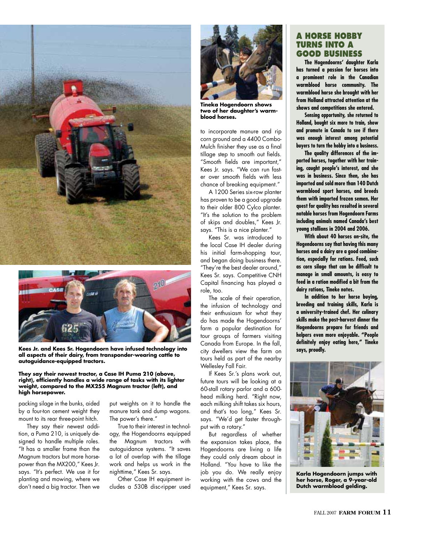



**Kees Jr. and Kees Sr. Hogendoorn have infused technology into all aspects of their dairy, from transponder-wearing cattle to autoguidance-equipped tractors.** 

#### **They say their newest tractor, a Case IH Puma 210 (above, right), efficiently handles a wide range of tasks with its lighter weight, compared to the MX255 Magnum tractor (left), and high horsepower.**

packing silage in the bunks, aided by a four-ton cement weight they mount to its rear three-point hitch.

They say their newest addition, a Puma 210, is uniquely designed to handle multiple roles. "It has a smaller frame than the Magnum tractors but more horsepower than the MX200," Kees Jr. says. "It's perfect. We use it for planting and mowing, where we don't need a big tractor. Then we

put weights on it to handle the manure tank and dump wagons. The nower's there."

True to their interest in technology, the Hogendoorns equipped the Magnum tractors with autoguidance systems. "It saves a lot of overlap with the tillage work and helps us work in the nighttime," Kees Sr. says.

Other Case IH equipment includes a 530B disc-ripper used



**Tineka Hogendoorn shows two of her daughter's warmblood horses.** 

to incorporate manure and rip corn ground and a 4400 Combo-Mulch finisher they use as a final tillage step to smooth out fields. "Smooth fields are important," Kees Jr. says. "We can run faster over smooth fields with less chance of breaking equipment."

A 1200 Series six-row planter has proven to be a good upgrade to their older 800 Cylco planter. "It's the solution to the problem of skips and doubles," Kees Jr. says. "This is a nice planter."

Kees Sr. was introduced to the local Case IH dealer during his initial farm-shopping tour, and began doing business there. "They're the best dealer around," Kees Sr. says. Competitive CNH Capital financing has played a role, too.

The scale of their operation, the infusion of technology and their enthusiasm for what they do has made the Hogendoorns' farm a popular destination for tour groups of farmers visiting Canada from Europe. In the fall, city dwellers view the farm on tours held as part of the nearby Wellesley Fall Fair.

If Kees Sr.'s plans work out, future tours will be looking at a 60-stall rotary parlor and a 600 head milking herd. "Right now, each milking shift takes six hours, and that's too long," Kees Sr. says. "We'd get faster throughput with a rotary."

But regardless of whether the expansion takes place, the Hogendoorns are living a life they could only dream about in Holland. "You have to like the job you do. We really enjoy working with the cows and the equipment," Kees Sr. says.

#### **A HORSE HOBBY TURNS INTO A GOOD BUSINESS**

**The Hogendoorns' daughter Karla has turned a passion for horses into a prominent role in the Canadian warmblood horse community. The warmblood horse she brought with her from Holland attracted attention at the shows and competitions she entered.** 

**Sensing opportunity, she returned to Holland, bought six more to train, show and promote in Canada to see if there was enough interest among potential buyers to turn the hobby into a business.**

**The quality differences of the imported horses, together with her training, caught people's interest, and she was in business. Since then, she has imported and sold more than 140 Dutch warmblood sport horses, and breeds them with imported frozen semen. Her quest for quality has resulted in several notable horses from Hogendoorn Farms including animals named Canada's best young stallions in 2004 and 2006.**

**With about 40 horses on-site, the Hogendoorns say that having this many horses and a dairy are a good combination, especially for rations. Feed, such as corn silage that can be difficult to manage in small amounts, is easy to feed in a ration modified a bit from the dairy rations, Tineke notes.**

**In addition to her horse buying, breeding and training skills, Karla is a university-trained chef. Her culinary skills make the post-harvest dinner the Hogendoorns prepare for friends and helpers even more enjoyable. "People definitely enjoy eating here," Tineke says, proudly.**



**Karla Hogendoorn jumps with her horse, Roger, a 9-year-old Dutch warmblood gelding.**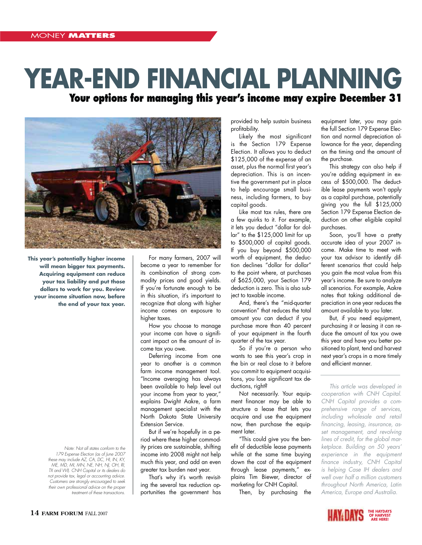### **YEAR-END FINANCIAL PLANNING Your options for managing this year's income may expire December 31**



**This year's potentially higher income will mean bigger tax payments. Acquiring equipment can reduce your tax liability and put those dollars to work for you. Review your income situation now, before the end of your tax year.** 

> Note: Not all states conform to the 179 Expense Election (as of June 2007 these may include AZ, CA, DC, HI, IN, KY, ME, MD, MI, MN, NE, NH, NJ, OH, RI, TX and WI). CNH Capital or its dealers do not provide tax, legal or accounting advice. Customers are strongly encouraged to seek their own professional advice on the proper treatment of these transactions.

For many farmers, 2007 will become a year to remember for its combination of strong commodity prices and good yields. If you're fortunate enough to be in this situation, it's important to recognize that along with higher income comes an exposure to higher taxes.

How you choose to manage your income can have a significant impact on the amount of income tax you owe.

Deferring income from one year to another is a common farm income management tool. "Income averaging has always been available to help level out your income from year to year," explains Dwight Aakre, a farm management specialist with the North Dakota State University Extension Service.

But if we're hopefully in a period where these higher commodity prices are sustainable, shifting income into 2008 might not help much this year, and add an even greater tax burden next year.

That's why it's worth revisiting the several tax reduction opportunities the government has provided to help sustain business profitability.

Likely the most significant is the Section 179 Expense Election. It allows you to deduct \$125,000 of the expense of an asset, plus the normal first year's depreciation. This is an incentive the government put in place to help encourage small business, including farmers, to buy capital goods.

Like most tax rules, there are a few quirks to it. For example, it lets you deduct "dollar for dollar" to the \$125,000 limit for up to \$500,000 of capital goods. If you buy beyond \$500,000 worth of equipment, the deduction declines "dollar for dollar" to the point where, at purchases of \$625,000, your Section 179 deduction is zero. This is also subject to taxable income.

And, there's the "mid-quarter convention" that reduces the total amount you can deduct if you purchase more than 40 percent of your equipment in the fourth quarter of the tax year.

So if you're a person who wants to see this year's crop in the bin or real close to it before you commit to equipment acquisitions, you lose significant tax deductions, right?

Not necessarily. Your equipment financer may be able to structure a lease that lets you acquire and use the equipment now, then purchase the equipment later.

"This could give you the benefit of deductible lease payments while at the same time buying down the cost of the equipment through lease payments," explains Tim Biewer, director of marketing for CNH Capital.

Then, by purchasing the

equipment later, you may gain the full Section 179 Expense Election and normal depreciation allowance for the year, depending on the timing and the amount of the purchase.

This strategy can also help if you're adding equipment in excess of \$500,000. The deductible lease payments won't apply as a capital purchase, potentially giving you the full \$125,000 Section 179 Expense Election deduction on other eligible capital purchases.

Soon, you'll have a pretty accurate idea of your 2007 income. Make time to meet with your tax advisor to identify different scenarios that could help you gain the most value from this year's income. Be sure to analyze all scenarios. For example, Aakre notes that taking additional depreciation in one year reduces the amount available to you later.

But, if you need equipment, purchasing it or leasing it can reduce the amount of tax you owe this year and have you better positioned to plant, tend and harvest next year's crops in a more timely and efficient manner.

This article was developed in cooperation with CNH Capital. CNH Capital provides a comprehensive range of services, including wholesale and retail financing, leasing, insurance, asset management, and revolving lines of credit, for the global marketplace. Building on 50 years' experience in the equipment finance industry, CNH Capital is helping Case IH dealers and well over half a million customers throughout North America, Latin America, Europe and Australia.

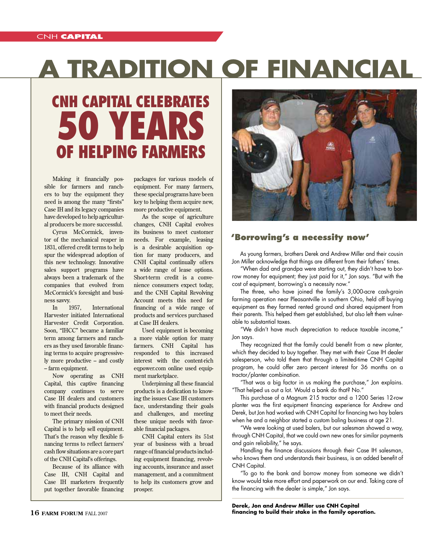#### CNH **CAPITAL**

# **A TRADITION OF FINANCIAL**

# **CNH CAPITAL CELEBRATES 50 YEARS OF HELPING FARMERS**

Making it financially possible for farmers and ranchers to buy the equipment they need is among the many "firsts" Case IH and its legacy companies have developed to help agricultural producers be more successful.

Cyrus McCormick, inventor of the mechanical reaper in 1831, offered credit terms to help spur the widespread adoption of this new technology. Innovative sales support programs have always been a trademark of the companies that evolved from McCormick's foresight and business savvy.

In 1957, International Harvester initiated International Harvester Credit Corporation. Soon, "IHCC" became a familiar term among farmers and ranchers as they used favorable financing terms to acquire progressively more productive – and costly – farm equipment.

Now operating as CNH Capital, this captive financing company continues to serve Case IH dealers and customers with financial products designed to meet their needs.

The primary mission of CNH Capital is to help sell equipment. That's the reason why flexible financing terms to reflect farmers' cash flow situations are a core part of the CNH Capital's offerings.

Because of its alliance with Case IH, CNH Capital and Case IH marketers frequently put together favorable financing packages for various models of equipment. For many farmers, these special programs have been key to helping them acquire new, more productive equipment.

As the scope of agriculture changes, CNH Capital evolves its business to meet customer needs. For example, leasing is a desirable acquisition option for many producers, and CNH Capital continually offers a wide range of lease options. Short-term credit is a convenience consumers expect today, and the CNH Capital Revolving Account meets this need for financing of a wide range of products and services purchased at Case IH dealers.

Used equipment is becoming a more viable option for many farmers. CNH Capital has responded to this increased interest with the content-rich eqpower.com online used equipment marketplace.

Underpinning all these financial products is a dedication to knowing the issues Case IH customers face, understanding their goals and challenges, and meeting these unique needs with favorable financial packages.

CNH Capital enters its 51st year of business with a broad range of financial products including equipment financing, revolving accounts, insurance and asset management, and a commitment to help its customers grow and prosper.



#### **'Borrowing's a necessity now'**

As young farmers, brothers Derek and Andrew Miller and their cousin Jon Miller acknowledge that things are different from their fathers' times.

"When dad and grandpa were starting out, they didn't have to borrow money for equipment; they just paid for it," Jon says. "But with the cost of equipment, borrowing's a necessity now."

The three, who have joined the family's 3,000-acre cash-grain farming operation near Pleasantville in southern Ohio, held off buying equipment as they farmed rented ground and shared equipment from their parents. This helped them get established, but also left them vulnerable to substantial taxes.

"We didn't have much depreciation to reduce taxable income," Jon says.

They recognized that the family could benefit from a new planter, which they decided to buy together. They met with their Case IH dealer salesperson, who told them that through a limited-time CNH Capital program, he could offer zero percent interest for 36 months on a tractor/planter combination.

"That was a big factor in us making the purchase," Jon explains. "That helped us out a lot. Would a bank do that? No."

This purchase of a Magnum 215 tractor and a 1200 Series 12-row planter was the first equipment financing experience for Andrew and Derek, but Jon had worked with CNH Capital for financing two hay balers when he and a neighbor started a custom baling business at age 21.

"We were looking at used balers, but our salesman showed a way, through CNH Capital, that we could own new ones for similar payments and gain reliability," he says.

Handling the finance discussions through their Case IH salesman, who knows them and understands their business, is an added benefit of CNH Capital.

"To go to the bank and borrow money from someone we didn't know would take more effort and paperwork on our end. Taking care of the financing with the dealer is simple," Jon says.

**Derek, Jon and Andrew Miller use CNH Capital financing to build their stake in the family operation.**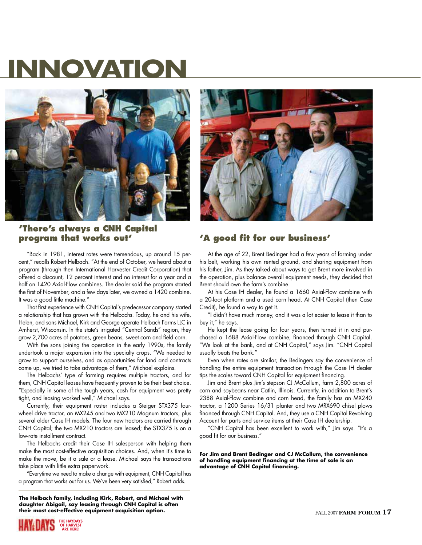# **INNOVATION**



#### **'There's always a CNH Capital program that works out'**

"Back in 1981, interest rates were tremendous, up around 15 percent," recalls Robert Helbach. "At the end of October, we heard about a program (through then International Harvester Credit Corporation) that offered a discount, 12 percent interest and no interest for a year and a half on 1420 Axial-Flow combines. The dealer said the program started the first of November, and a few days later, we owned a 1420 combine. It was a good little machine."

That first experience with CNH Capital's predecessor company started a relationship that has grown with the Helbachs. Today, he and his wife, Helen, and sons Michael, Kirk and George operate Helbach Farms LLC in Amherst, Wisconsin. In the state's irrigated "Central Sands" region, they grow 2,700 acres of potatoes, green beans, sweet corn and field corn.

With the sons joining the operation in the early 1990s, the family undertook a major expansion into the specialty crops. "We needed to grow to support ourselves, and as opportunities for land and contracts came up, we tried to take advantage of them," Michael explains.

The Helbachs' type of farming requires multiple tractors, and for them, CNH Capital leases have frequently proven to be their best choice. "Especially in some of the tough years, cash for equipment was pretty tight, and leasing worked well," Michael says.

Currently, their equipment roster includes a Steiger STX375 fourwheel drive tractor, an MX245 and two MX210 Magnum tractors, plus several older Case IH models. The four new tractors are carried through CNH Capital; the two MX210 tractors are leased; the STX375 is on a low-rate installment contract.

The Helbachs credit their Case IH salesperson with helping them make the most cost-effective acquisition choices. And, when it's time to make the move, be it a sale or a lease, Michael says the transactions take place with little extra paperwork.

"Everytime we need to make a change with equipment, CNH Capital has a program that works out for us. We've been very satisfied," Robert adds.

**The Helbach family, including Kirk, Robert, and Michael with daughter Abigail, say leasing through CNH Capital is often their most cost-effective equipment acquisition option.**



#### **'A good fit for our business'**

At the age of 22, Brent Bedinger had a few years of farming under his belt, working his own rented ground, and sharing equipment from his father, Jim. As they talked about ways to get Brent more involved in the operation, plus balance overall equipment needs, they decided that Brent should own the farm's combine.

At his Case IH dealer, he found a 1660 Axial-Flow combine with a 20-foot platform and a used corn head. At CNH Capital (then Case Credit), he found a way to get it.

"I didn't have much money, and it was a lot easier to lease it than to buy it," he says.

He kept the lease going for four years, then turned it in and purchased a 1688 Axial-Flow combine, financed through CNH Capital. "We look at the bank, and at CNH Capital," says Jim. "CNH Capital usually beats the bank."

Even when rates are similar, the Bedingers say the convenience of handling the entire equipment transaction through the Case IH dealer tips the scales toward CNH Capital for equipment financing.

Jim and Brent plus Jim's stepson CJ McCollum, farm 2,800 acres of corn and soybeans near Catlin, Illinois. Currently, in addition to Brent's 2388 Axial-Flow combine and corn head, the family has an MX240 tractor, a 1200 Series 16/31 planter and two MRX690 chisel plows financed through CNH Capital. And, they use a CNH Capital Revolving Account for parts and service items at their Case IH dealership.

"CNH Capital has been excellent to work with," Jim says. "It's a good fit for our business."

**For Jim and Brent Bedinger and CJ McCollum, the convenience of handling equipment financing at the time of sale is an advantage of CNH Capital financing.**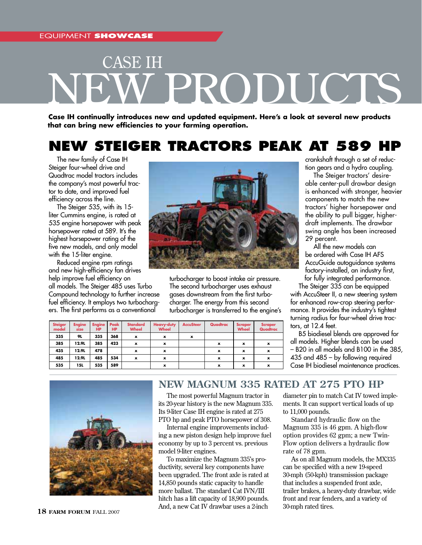# PRODUCTS CASE IH

**Case IH continually introduces new and updated equipment. Here's a look at several new products that can bring new efficiencies to your farming operation.**

#### **NEW STEIGER TRACTORS PEAK AT 589 HP**

The new family of Case IH Steiger four-wheel drive and Quadtrac model tractors includes the company's most powerful tractor to date, and improved fuel efficiency across the line.

The Steiger 535, with its 15 liter Cummins engine, is rated at 535 engine horsepower with peak horsepower rated at 589. It's the highest horsepower rating of the five new models, and only model with the 15-liter engine.

Reduced engine rpm ratings and new high-efficiency fan drives help improve fuel efficiency on all models. The Steiger 485 uses Turbo Compound technology to further increase fuel efficiency. It employs two turbochargers. The first performs as a conventional



turbocharger to boost intake air pressure. The second turbocharger uses exhaust gases downstream from the first turbocharger. The energy from this second turbocharger is transferred to the engine's crankshaft through a set of reduction gears and a hydro coupling.

The Steiger tractors' desireable center-pull drawbar design is enhanced with stronger, heavier components to match the new tractors' higher horsepower and the ability to pull bigger, higherdraft implements. The drawbar swing angle has been increased 29 percent.

All the new models can be ordered with Case IH AFS AccuGuide autoguidance systems factory-installed, an industry first, for fully integrated performance.

The Steiger 335 can be equipped with AccuSteer II, a new steering system for enhanced row-crop steering performance. It provides the industry's tightest turning radius for four-wheel drive tractors, at 12.4 feet.

B5 biodiesel blends are approved for all models. Higher blends can be used – B20 in all models and B100 in the 385, 435 and 485 – by following required Case IH biodiesel maintenance practices.





**18 FARM FORUM** FALL 2007

#### **NEW MAGNUM 335 RATED AT 275 PTO HP**

The most powerful Magnum tractor in its 20-year history is the new Magnum 335. Its 9-liter Case IH engine is rated at 275 PTO hp and peak PTO horsepower of 308.

Internal engine improvements including a new piston design help improve fuel economy by up to 3 percent vs. previous model 9-liter engines.

To maximize the Magnum 335's productivity, several key components have been upgraded. The front axle is rated at 14,850 pounds static capacity to handle more ballast. The standard Cat IVN/III hitch has a lift capacity of 18,900 pounds. And, a new Cat IV drawbar uses a 2-inch

diameter pin to match Cat IV towed implements. It can support vertical loads of up to 11,000 pounds.

Standard hydraulic flow on the Magnum 335 is 46 gpm. A high-flow option provides 62 gpm; a new Twin-Flow option delivers a hydraulic flow rate of 78 gpm.

As on all Magnum models, the MX335 can be specified with a new 19-speed 30-mph (50-kph) transmission package that includes a suspended front axle, trailer brakes, a heavy-duty drawbar, wide front and rear fenders, and a variety of 30-mph rated tires.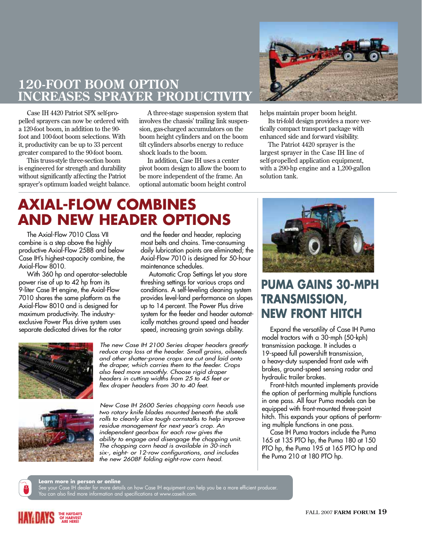

#### **120-FOOT BOOM OPTION INCREASES SPRAYER PROD**

Case IH 4420 Patriot SPX self-propelled sprayers can now be ordered with a 120-foot boom, in addition to the 90 foot and 100-foot boom selections. With it, productivity can be up to 33 percent greater compared to the 90-foot boom.

This truss-style three-section boom is engineered for strength and durability without significantly affecting the Patriot sprayer's optimum loaded weight balance.

A three-stage suspension system that involves the chassis' trailing link suspension, gas-charged accumulators on the boom height cylinders and on the boom tilt cylinders absorbs energy to reduce shock loads to the boom.

In addition, Case IH uses a center pivot boom design to allow the boom to be more independent of the frame. An optional automatic boom height control helps maintain proper boom height.

Its tri-fold design provides a more vertically compact transport package with enhanced side and forward visibility.

The Patriot 4420 sprayer is the largest sprayer in the Case IH line of self-propelled application equipment, with a 290-hp engine and a 1,200-gallon solution tank.

#### **AXIAL-FLOW COMBINES AND NEW HEADER OPTIONS**

The Axial-Flow 7010 Class VII combine is a step above the highly productive Axial-Flow 2588 and below Case IH's highest-capacity combine, the Axial-Flow 8010.

With 360 hp and operator-selectable power rise of up to 42 hp from its 9-liter Case IH engine, the Axial-Flow 7010 shares the same platform as the Axial-Flow 8010 and is designed for maximum productivity. The industryexclusive Power Plus drive system uses separate dedicated drives for the rotor



and the feeder and header, replacing most belts and chains. Time-consuming daily lubrication points are eliminated; the Axial-Flow 7010 is designed for 50-hour maintenance schedules.

Automatic Crop Settings let you store threshing settings for various crops and conditions. A self-leveling cleaning system provides level-land performance on slopes up to 14 percent. The Power Plus drive system for the feeder and header automatically matches ground speed and header speed, increasing grain savings ability.

The new Case IH 2100 Series draper headers greatly reduce crop loss at the header. Small grains, oilseeds and other shatter-prone crops are cut and laid onto the draper, which carries them to the feeder. Crops also feed more smoothly. Choose rigid draper headers in cutting widths from 25 to 45 feet or flex draper headers from 30 to 40 feet.



New Case IH 2600 Series chopping corn heads use two rotary knife blades mounted beneath the stalk rolls to cleanly slice tough cornstalks to help improve residue management for next year's crop. An independent gearbox for each row gives the ability to engage and disengage the chopping unit. The chopping corn head is available in 30-inch six-, eight- or 12-row configurations, and includes the new 2608F folding eight-row corn head.



#### **PUMA GAINS 30-MPH TRANSMISSION, NEW FRONT HITCH**

Expand the versatility of Case IH Puma model tractors with a 30-mph (50-kph) transmission package. It includes a 19-speed full powershift transmission, a heavy-duty suspended front axle with brakes, ground-speed sensing radar and hydraulic trailer brakes.

Front-hitch mounted implements provide the option of performing multiple functions in one pass. All four Puma models can be equipped with front-mounted three-point hitch. This expands your options of performing multiple functions in one pass.

Case IH Puma tractors include the Puma 165 at 135 PTO hp, the Puma 180 at 150 PTO hp, the Puma 195 at 165 PTO hp and the Puma 210 at 180 PTO hp.

**Learn more in person or online** See your Case IH dealer for more details on how Case IH equipment can help you be a more efficient producer. You can also find more information and specifications at www.caseih.com.

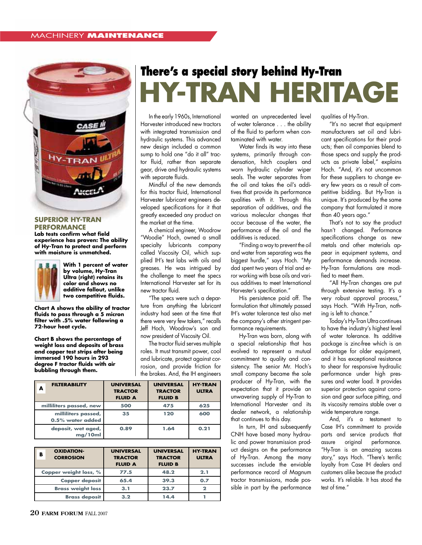

#### **SUPERIOR HY-TRAN PERFORMANCE**

**Lab tests confirm what field experience has proven: The ability of Hy-Tran to protect and perform with moisture is unmatched.**



**With 1 percent of water by volume, Hy-Tran Ultra (right) retains its color and shows no additive fallout, unlike two competitive fluids.**

**Chart A shows the ability of tractor fluids to pass through a 5 micron filter with .5% water following a 72-hour heat cycle.**

**Chart B shows the percentage of weight loss and deposits of brass and copper test strips after being immersed 190 hours in 293 degree F tractor fluids with air bubbling through them.** 

## **AN HERITAGE There's a special story behind Hy-Tran**

In the early 1960s, International Harvester introduced new tractors with integrated transmission and hydraulic systems. This advanced new design included a common sump to hold one "do it all" tractor fluid, rather than separate gear, drive and hydraulic systems with separate fluids.

Mindful of the new demands for this tractor fluid, International Harvester lubricant engineers developed specifications for it that greatly exceeded any product on the market at the time.

A chemical engineer, Woodrow "Woodie" Hoch, owned a small specialty lubricants company called Viscosity Oil, which supplied IH's test labs with oils and greases. He was intrigued by the challenge to meet the specs International Harvester set for its new tractor fluid.

"The specs were such a departure from anything the lubricant industry had seen at the time that there were very few takers," recalls Jeff Hoch, Woodrow's son and now president of Viscosity Oil.

The tractor fluid serves multiple roles. It must transmit power, cool and lubricate, protect against corrosion, and provide friction for the brakes. And, the IH engineers

| A                                       | <b>FILTERABILITY</b> | <b>UNIVERSAL</b><br><b>TRACTOR</b><br><b>FLUID A</b> | <b>UNIVERSAL</b><br><b>TRACTOR</b><br><b>FLUID B</b> | <b>HY-TRAN</b><br><b>ULTRA</b> |
|-----------------------------------------|----------------------|------------------------------------------------------|------------------------------------------------------|--------------------------------|
| milliliters passed, new                 |                      | 500                                                  | 475                                                  | 625                            |
| milliliters passed,<br>0.5% water added |                      | 35                                                   | 120                                                  | 600                            |
| deposit, wet aged,<br>ma/10ml           |                      | 0.89                                                 | 1.64                                                 | 0.21                           |

| в                        | <b>OXIDATION-</b><br><b>CORROSION</b> | <b>UNIVERSAL</b><br><b>TRACTOR</b><br><b>FLUID A</b> | <b>UNIVERSAL</b><br><b>TRACTOR</b><br><b>FLUID B</b> | <b>HY-TRAN</b><br><b>ULTRA</b> |
|--------------------------|---------------------------------------|------------------------------------------------------|------------------------------------------------------|--------------------------------|
| Copper weight loss, %    |                                       | 77.5                                                 | 48.2                                                 | 2.1                            |
| <b>Copper deposit</b>    |                                       | 65.4                                                 | 39.3                                                 | 0.7                            |
| <b>Brass weight loss</b> |                                       | 3.1                                                  | 23.7                                                 |                                |
| <b>Brass deposit</b>     |                                       | 3.2                                                  | 14.4                                                 |                                |

wanted an unprecedented level of water tolerance . . . the ability of the fluid to perform when contaminated with water.

Water finds its way into these systems, primarily through condensation, hitch couplers and worn hydraulic cylinder wiper seals. The water separates from the oil and takes the oil's additives that provide its performance qualities with it. Through this separation of additives, and the various molecular changes that occur because of the water, the performance of the oil and the additives is reduced.

"Finding a way to prevent the oil and water from separating was the biggest hurdle," says Hoch. "My dad spent two years of trial and error working with base oils and various additives to meet International Harvester's specification."

His persistence paid off. The formulation that ultimately passed IH's water tolerance test also met the company's other stringent performance requirements.

Hy-Tran was born, along with a special relationship that has evolved to represent a mutual commitment to quality and consistency. The senior Mr. Hoch's small company became the sole producer of Hy-Tran, with the expectation that it provide an unwavering supply of Hy-Tran to International Harvester and its dealer network, a relationship that continues to this day.

In turn, IH and subsequently CNH have based many hydraulic and power transmission product designs on the performance of Hy-Tran. Among the many successes include the enviable performance record of Magnum tractor transmissions, made possible in part by the performance

qualities of Hy-Tran.

"It's no secret that equipment manufacturers set oil and lubricant specifications for their products; then oil companies blend to those specs and supply the products as private label," explains Hoch. "And, it's not uncommon for these suppliers to change every few years as a result of competitive bidding. But Hy-Tran is unique. It's produced by the same company that formulated it more than 40 years ago."

That's not to say the product hasn't changed. Performance specifications change as new metals and other materials appear in equipment systems, and performance demands increase. Hy-Tran formulations are modified to meet them.

"All Hy-Tran changes are put through extensive testing. It's a very robust approval process," says Hoch. "With Hy-Tran, nothing is left to chance."

Today's Hy-Tran Ultra continues to have the industry's highest level of water tolerance. Its additive package is zinc-free which is an advantage for older equipment, and it has exceptional resistance to shear for responsive hydraulic performance under high pressures and water load. It provides superior protection against corrosion and gear surface pitting, and its viscosity remains stable over a wide temperature range.

And, it's a testament to Case IH's commitment to provide parts and service products that assure original performance. "Hy-Tran is an amazing success story," says Hoch. "There's terrific loyalty from Case IH dealers and customers alike because the product works. It's reliable. It has stood the test of time."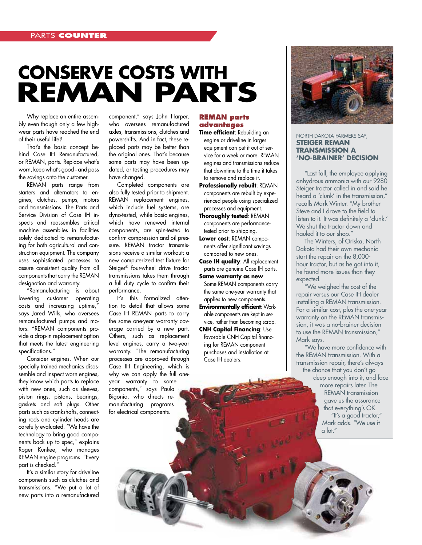## **CONSERVE COSTS WITH REMAN PARTS**

Why replace an entire assembly even though only a few highwear parts have reached the end of their useful life?

That's the basic concept behind Case IH Remanufactured, or REMAN, parts. Replace what's worn, keep what's good - and pass the savings onto the customer.

REMAN parts range from starters and alternators to engines, clutches, pumps, motors and transmissions. The Parts and Service Division of Case IH inspects and reassembles critical machine assemblies in facilities solely dedicated to remanufacturing for both agricultural and construction equipment. The company uses sophisticated processes to assure consistent quality from all components that carry the REMAN designation and warranty.

"Remanufacturing is about lowering customer operating costs and increasing uptime," says Jared Wills, who oversees remanufactured pumps and motors. "REMAN components provide a drop-in replacement option that meets the latest engineering specifications."

Consider engines. When our specially trained mechanics disassemble and inspect worn engines, they know which parts to replace with new ones, such as sleeves, piston rings, pistons, bearings, gaskets and soft plugs. Other parts such as crankshafts, connecting rods and cylinder heads are carefully evaluated. "We have the technology to bring good components back up to spec," explains Roger Kunkee, who manages REMAN engine programs. "Every part is checked."

It's a similar story for driveline components such as clutches and transmissions. "We put a lot of new parts into a remanufactured

component," says John Harper, who oversees remanufactured axles, transmissions, clutches and powershifts. And in fact, these replaced parts may be better than the original ones. That's because some parts may have been updated, or testing procedures may have changed.

Completed components are also fully tested prior to shipment. REMAN replacement engines, which include fuel systems, are dyno-tested, while basic engines, which have renewed internal components, are spin-tested to confirm compression and oil pressure. REMAN tractor transmissions receive a similar workout: a new computerized test fixture for Steiger® four-wheel drive tractor transmissions takes them through a full duty cycle to confirm their performance.

It's this formalized attention to detail that allows some Case IH REMAN parts to carry the same one-year warranty coverage carried by a new part. Others, such as replacement level engines, carry a two-year warranty. "The remanufacturing processes are approved through Case IH Engineering, which is why we can apply the full oneyear warranty to some components," says Paula Bigonia, who directs remanufacturing programs for electrical components.

#### **REMAN parts advantages**

**Time efficient**: Rebuilding an engine or driveline in larger equipment can put it out of service for a week or more. REMAN engines and transmissions reduce that downtime to the time it takes to remove and replace it.

**Professionally rebuilt**: REMAN components are rebuilt by experienced people using specialized processes and equipment.

**Thoroughly tested**: REMAN components are performancetested prior to shipping. **Lower cost**: REMAN compo-

nents offer significant savings compared to new ones. **Case IH quality**: All replacement

parts are genuine Case IH parts. **Same warranty as new**:

Some REMAN components carry the same one-year warranty that applies to new components.

**Environmentally efficient**: Workable components are kept in service, rather than becoming scrap. **CNH Capital Financing**: Use favorable CNH Capital financing for REMAN component purchases and installation at Case IH dealers.



#### NORTH DAKOTA FARMERS SAY, **STEIGER REMAN TRANSMISSION A 'NO-BRAINER' DECISION**

"Last fall, the employee applying anhydrous ammonia with our 9280 Steiger tractor called in and said he heard a 'clunk' in the transmission," recalls Mark Winter. "My brother Steve and I drove to the field to listen to it. It was definitely a 'clunk.' We shut the tractor down and hauled it to our shop."

The Winters, of Oriska, North Dakota had their own mechanic start the repair on the 8,000 hour tractor, but as he got into it, he found more issues than they expected.

"We weighed the cost of the repair versus our Case IH dealer installing a REMAN transmission. For a similar cost, plus the one-year warranty on the REMAN transmission, it was a no-brainer decision to use the REMAN transmission," Mark says.

"We have more confidence with the REMAN transmission. With a transmission repair, there's always the chance that you don't go deep enough into it, and face more repairs later. The

REMAN transmission gave us the assurance that everything's OK. "It's a good tractor," Mark adds. "We use it a lot."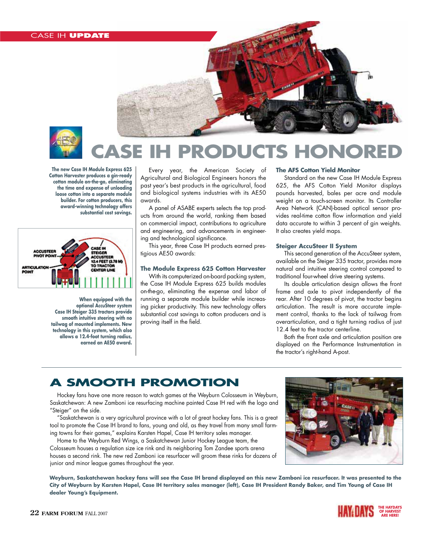#### CASE IH **UPDATE**



# **S HONO**

**The new Case IH Module Express 625 Cotton Harvester produces a gin-ready cotton module on-the-go, eliminating the time and expense of unloading loose cotton into a separate module builder. For cotton producers, this award-winning technology offers substantial cost savings.**



**When equipped with the optional AccuSteer system Case IH Steiger 335 tractors provide smooth intuitive steering with no tailwag of mounted implements. New technology in this system, which also allows a 12.4-foot turning radius, earned an AE50 award.** 

Every year, the American Society of Agricultural and Biological Engineers honors the past year's best products in the agricultural, food and biological systems industries with its AE50 awards.

A panel of ASABE experts selects the top products from around the world, ranking them based on commercial impact, contributions to agriculture and engineering, and advancements in engineering and technological significance.

This year, three Case IH products earned prestigious AE50 awards:

#### **The Module Express 625 Cotton Harvester**

With its computerized on-board packing system, the Case IH Module Express 625 builds modules on-the-go, eliminating the expense and labor of running a separate module builder while increasing picker productivity. This new technology offers substantial cost savings to cotton producers and is proving itself in the field.

#### **The AFS Cotton Yield Monitor**

Standard on the new Case IH Module Express 625, the AFS Cotton Yield Monitor displays pounds harvested, bales per acre and module weight on a touch-screen monitor. Its Controller Area Network (CAN)-based optical sensor provides real-time cotton flow information and yield data accurate to within 3 percent of gin weights. It also creates yield maps.

#### **Steiger AccuSteer II System**

This second generation of the AccuSteer system, available on the Steiger 335 tractor, provides more natural and intuitive steering control compared to traditional four-wheel drive steering systems.

Its double articulation design allows the front frame and axle to pivot independently of the rear. After 10 degrees of pivot, the tractor begins articulation. The result is more accurate implement control, thanks to the lack of tailwag from overarticulation, and a tight turning radius of just 12.4 feet to the tractor centerline.

Both the front axle and articulation position are displayed on the Performance Instrumentation in the tractor's right-hand A-post.

#### **A SMOOTH PROMOTION**

Hockey fans have one more reason to watch games at the Weyburn Colosseum in Weyburn, Saskatchewan: A new Zamboni ice resurfacing machine painted Case IH red with the logo and "Steiger" on the side.

"Saskatchewan is a very agricultural province with a lot of great hockey fans. This is a great tool to promote the Case IH brand to fans, young and old, as they travel from many small farming towns for their games," explains Karsten Hapel, Case IH territory sales manager.

Home to the Weyburn Red Wings, a Saskatchewan Junior Hockey League team, the Colosseum houses a regulation size ice rink and its neighboring Tom Zandee sports arena houses a second rink. The new red Zamboni ice resurfacer will groom these rinks for dozens of junior and minor league games throughout the year.

**Weyburn, Saskatchewan hockey fans will see the Case IH brand displayed on this new Zamboni ice resurfacer. It was presented to the City of Weyburn by Karsten Hapel, Case IH territory sales manager (left), Case IH President Randy Baker, and Tim Young of Case IH dealer Young's Equipment.** 

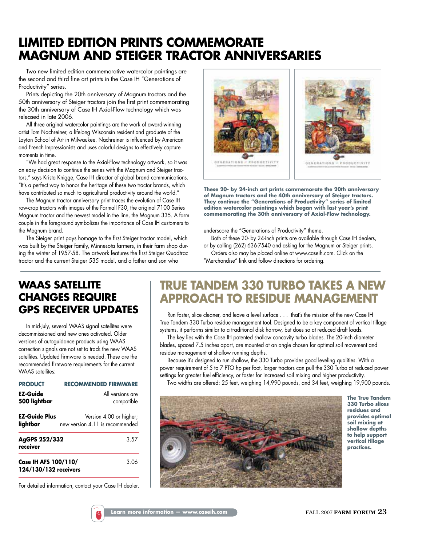#### **LIMITED EDITION PRINTS COMMEMORATE MAGNUM AND STEIGER TRACTOR ANNIVERSARIES**

Two new limited edition commemorative watercolor paintings are the second and third fine art prints in the Case IH "Generations of Productivity" series.

Prints depicting the 20th anniversary of Magnum tractors and the 50th anniversary of Steiger tractors join the first print commemorating the 30th anniversary of Case IH Axial-Flow technology which was released in late 2006.

All three original watercolor paintings are the work of award-winning artist Tom Nachreiner, a lifelong Wisconsin resident and graduate of the Layton School of Art in Milwaukee. Nachreiner is influenced by American and French Impressionists and uses colorful designs to effectively capture moments in time.

"We had great response to the Axial-Flow technology artwork, so it was an easy decision to continue the series with the Magnum and Steiger tractors," says Krista Knigge, Case IH director of global brand communications. "It's a perfect way to honor the heritage of these two tractor brands, which have contributed so much to agricultural productivity around the world."

The Magnum tractor anniversary print traces the evolution of Case IH row-crop tractors with images of the Farmall F30, the original 7100 Series Magnum tractor and the newest model in the line, the Magnum 335. A farm couple in the foreground symbolizes the importance of Case IH customers to the Magnum brand.

The Steiger print pays homage to the first Steiger tractor model, which was built by the Steiger family, Minnesota farmers, in their farm shop during the winter of 1957-58. The artwork features the first Steiger Quadtrac tractor and the current Steiger 535 model, and a father and son who



**These 20- by 24-inch art prints commemorate the 20th anniversary of Magnum tractors and the 40th anniversary of Steiger tractors. They continue the "Generations of Productivity" series of limited edition watercolor paintings which began with last year's print commemorating the 30th anniversary of Axial-Flow technology.**

underscore the "Generations of Productivity" theme.

Both of these 20- by 24-inch prints are available through Case IH dealers, or by calling (262) 636-7540 and asking for the Magnum or Steiger prints.

Orders also may be placed online at www.caseih.com. Click on the "Merchandise" link and follow directions for ordering.

#### **WAAS SATELLITE CHANGES REQUIRE GPS RECEIVER UPDATES**

In mid-July, several WAAS signal satellites were decommissioned and new ones activated. Older versions of autoguidance products using WAAS correction signals are not set to track the new WAAS satellites. Updated firmware is needed. These are the recommended firmware requirements for the current WAAS satellites:

| <b>RECOMMENDED FIRMWARE</b>                                |  |  |
|------------------------------------------------------------|--|--|
| All versions are<br>compatible                             |  |  |
| Version 4.00 or higher;<br>new version 4.11 is recommended |  |  |
| AgGPS 252/332<br>3.57<br>receiver                          |  |  |
| Case IH AFS 100/110/<br>3.06<br>124/130/132 receivers      |  |  |
|                                                            |  |  |

For detailed information, contact your Case IH dealer.

#### **TRUE TANDEM 330 TURBO TAKES A NEW APPROACH TO RESIDUE MANAGEMENT**

Run faster, slice cleaner, and leave a level surface . . . that's the mission of the new Case IH True Tandem 330 Turbo residue management tool. Designed to be a key component of vertical tillage systems, it performs similar to a traditional disk harrow, but does so at reduced draft loads.

The key lies with the Case IH patented shallow concavity turbo blades. The 20-inch diameter blades, spaced 7.5 inches apart, are mounted at an angle chosen for optimal soil movement and residue management at shallow running depths.

Because it's designed to run shallow, the 330 Turbo provides good leveling qualities. With a power requirement of 5 to 7 PTO hp per foot, larger tractors can pull the 330 Turbo at reduced power settings for greater fuel efficiency, or faster for increased soil mixing and higher productivity.

Two widths are offered: 25 feet, weighing 14,990 pounds, and 34 feet, weighing 19,900 pounds.



**The True Tandem 330 Turbo slices residues and provides optimal soil mixing at shallow depths to help support vertical tillage practices.**